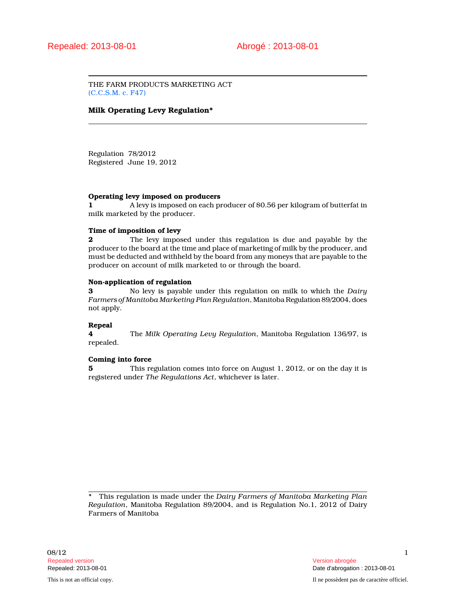THE FARM PRODUCTS MARKETING ACT (C.C.S.M. c. F47)

## **Milk Operating Levy Regulation\***

Regulation 78/2012 Registered June 19, 2012

#### **Operating levy imposed on producers**

**1** A levy is imposed on each producer of \$0.56 per kilogram of butterfat in milk marketed by the producer.

## **Time of imposition of levy**

**2** The levy imposed under this regulation is due and payable by the producer to the board at the time and place of marketing of milk by the producer, and must be deducted and withheld by the board from any moneys that are payable to the producer on account of milk marketed to or through the board.

#### **Non-application of regulation**

**3** No levy is payable under this regulation on milk to which the *Dairy Farmers of Manitoba Marketing Plan Regulation*, Manitoba Regulation 89/2004, does not apply.

# **Repeal**

**4** The *Milk Operating Levy Regulation*, Manitoba Regulation 136/97, is repealed.

### **Coming into force**

**5** This regulation comes into force on August 1, 2012, or on the day it is registered under *The Regulations Act*, whichever is later.

\* This regulation is made under the *Dairy Farmers of Manitoba Marketing Plan Regulation*, Manitoba Regulation 89/2004, and is Regulation No.1, 2012 of Dairy Farmers of Manitoba